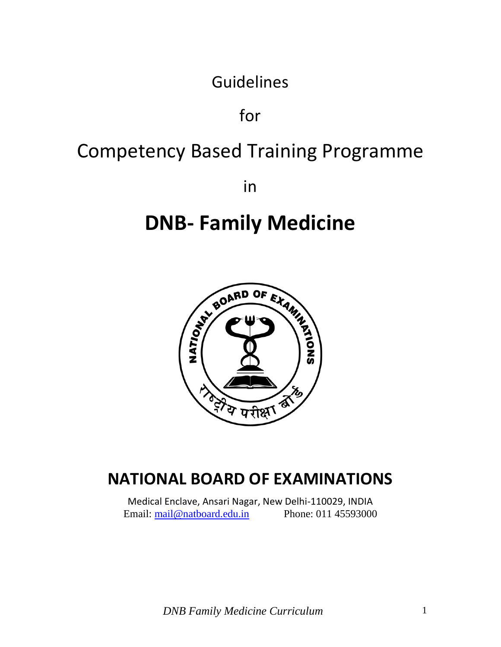Guidelines

for

# Competency Based Training Programme

in

# **DNB- Family Medicine**



## **NATIONAL BOARD OF EXAMINATIONS**

Medical Enclave, Ansari Nagar, New Delhi-110029, INDIA Email: [mail@natboard.edu.in](mailto:mail@natboard.edu.in) Phone: 011 45593000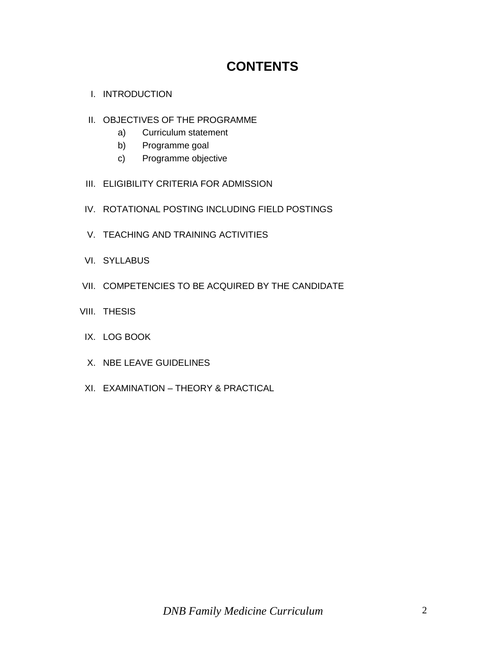## **CONTENTS**

- I. INTRODUCTION
- II. OBJECTIVES OF THE PROGRAMME
	- a) Curriculum statement
	- b) Programme goal
	- c) Programme objective
- III. ELIGIBILITY CRITERIA FOR ADMISSION
- IV. ROTATIONAL POSTING INCLUDING FIELD POSTINGS
- V. TEACHING AND TRAINING ACTIVITIES
- VI. SYLLABUS
- VII. COMPETENCIES TO BE ACQUIRED BY THE CANDIDATE
- VIII. THESIS
	- IX. LOG BOOK
	- X. NBE LEAVE GUIDELINES
	- XI. EXAMINATION THEORY & PRACTICAL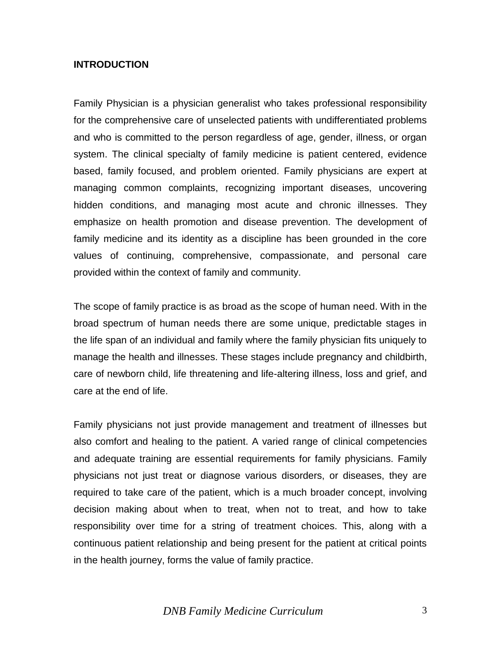#### **INTRODUCTION**

Family Physician is a physician generalist who takes professional responsibility for the comprehensive care of unselected patients with undifferentiated problems and who is committed to the person regardless of age, gender, illness, or organ system. The clinical specialty of family medicine is patient centered, evidence based, family focused, and problem oriented. Family physicians are expert at managing common complaints, recognizing important diseases, uncovering hidden conditions, and managing most acute and chronic illnesses. They emphasize on health promotion and disease prevention. The development of family medicine and its identity as a discipline has been grounded in the core values of continuing, comprehensive, compassionate, and personal care provided within the context of family and community.

The scope of family practice is as broad as the scope of human need. With in the broad spectrum of human needs there are some unique, predictable stages in the life span of an individual and family where the family physician fits uniquely to manage the health and illnesses. These stages include pregnancy and childbirth, care of newborn child, life threatening and life-altering illness, loss and grief, and care at the end of life.

Family physicians not just provide management and treatment of illnesses but also comfort and healing to the patient. A varied range of clinical competencies and adequate training are essential requirements for family physicians. Family physicians not just treat or diagnose various disorders, or diseases, they are required to take care of the patient, which is a much broader concept, involving decision making about when to treat, when not to treat, and how to take responsibility over time for a string of treatment choices. This, along with a continuous patient relationship and being present for the patient at critical points in the health journey, forms the value of family practice.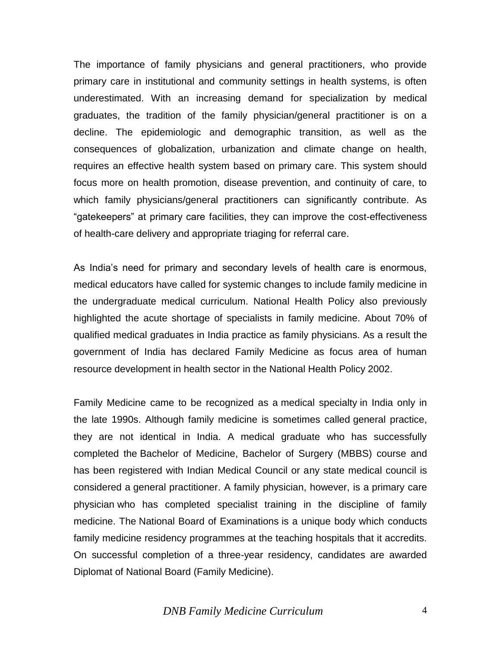The importance of family physicians and general practitioners, who provide primary care in institutional and community settings in health systems, is often underestimated. With an increasing demand for specialization by medical graduates, the tradition of the family physician/general practitioner is on a decline. The epidemiologic and demographic transition, as well as the consequences of globalization, urbanization and climate change on health, requires an effective health system based on primary care. This system should focus more on health promotion, disease prevention, and continuity of care, to which family physicians/general practitioners can significantly contribute. As "gatekeepers" at primary care facilities, they can improve the cost-effectiveness of health-care delivery and appropriate triaging for referral care.

As India's need for primary and secondary levels of health care is enormous, medical educators have called for systemic changes to include family medicine in the undergraduate medical curriculum. National Health Policy also previously highlighted the acute shortage of specialists in family medicine. About 70% of qualified medical graduates in India practice as family physicians. As a result the government of India has declared Family Medicine as focus area of human resource development in health sector in the National Health Policy 2002.

Family Medicine came to be recognized as a medical specialty in India only in the late 1990s. Although family medicine is sometimes called general practice, they are not identical in India. A medical graduate who has successfully completed the Bachelor of Medicine, Bachelor of Surgery (MBBS) course and has been registered with Indian Medical Council or any state medical council is considered a general practitioner. A family physician, however, is a primary care physician who has completed specialist training in the discipline of family medicine. The National Board of Examinations is a unique body which conducts family medicine residency programmes at the teaching hospitals that it accredits. On successful completion of a three-year residency, candidates are awarded Diplomat of National Board (Family Medicine).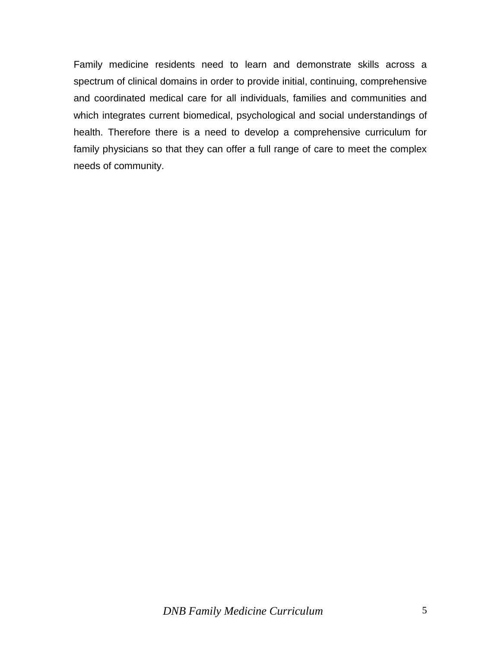Family medicine residents need to learn and demonstrate skills across a spectrum of clinical domains in order to provide initial, continuing, comprehensive and coordinated medical care for all individuals, families and communities and which integrates current biomedical, psychological and social understandings of health. Therefore there is a need to develop a comprehensive curriculum for family physicians so that they can offer a full range of care to meet the complex needs of community.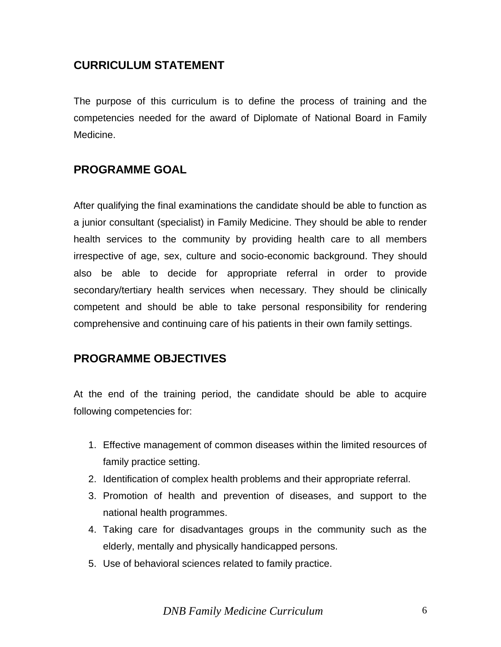## **CURRICULUM STATEMENT**

The purpose of this curriculum is to define the process of training and the competencies needed for the award of Diplomate of National Board in Family Medicine.

## **PROGRAMME GOAL**

After qualifying the final examinations the candidate should be able to function as a junior consultant (specialist) in Family Medicine. They should be able to render health services to the community by providing health care to all members irrespective of age, sex, culture and socio-economic background. They should also be able to decide for appropriate referral in order to provide secondary/tertiary health services when necessary. They should be clinically competent and should be able to take personal responsibility for rendering comprehensive and continuing care of his patients in their own family settings.

## **PROGRAMME OBJECTIVES**

At the end of the training period, the candidate should be able to acquire following competencies for:

- 1. Effective management of common diseases within the limited resources of family practice setting.
- 2. Identification of complex health problems and their appropriate referral.
- 3. Promotion of health and prevention of diseases, and support to the national health programmes.
- 4. Taking care for disadvantages groups in the community such as the elderly, mentally and physically handicapped persons.
- 5. Use of behavioral sciences related to family practice.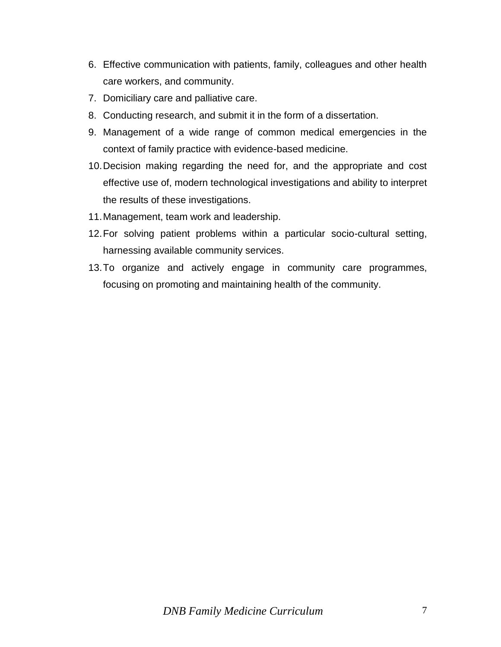- 6. Effective communication with patients, family, colleagues and other health care workers, and community.
- 7. Domiciliary care and palliative care.
- 8. Conducting research, and submit it in the form of a dissertation.
- 9. Management of a wide range of common medical emergencies in the context of family practice with evidence-based medicine.
- 10.Decision making regarding the need for, and the appropriate and cost effective use of, modern technological investigations and ability to interpret the results of these investigations.
- 11.Management, team work and leadership.
- 12.For solving patient problems within a particular socio-cultural setting, harnessing available community services.
- 13.To organize and actively engage in community care programmes, focusing on promoting and maintaining health of the community.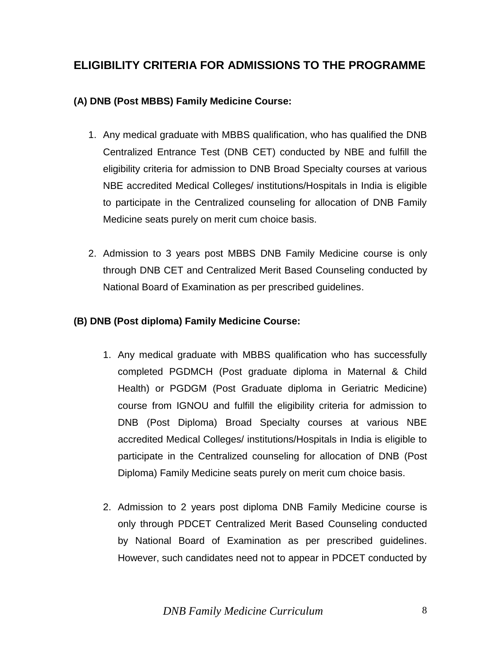## **ELIGIBILITY CRITERIA FOR ADMISSIONS TO THE PROGRAMME**

### **(A) DNB (Post MBBS) Family Medicine Course:**

- 1. Any medical graduate with MBBS qualification, who has qualified the DNB Centralized Entrance Test (DNB CET) conducted by NBE and fulfill the eligibility criteria for admission to DNB Broad Specialty courses at various NBE accredited Medical Colleges/ institutions/Hospitals in India is eligible to participate in the Centralized counseling for allocation of DNB Family Medicine seats purely on merit cum choice basis.
- 2. Admission to 3 years post MBBS DNB Family Medicine course is only through DNB CET and Centralized Merit Based Counseling conducted by National Board of Examination as per prescribed guidelines.

### **(B) DNB (Post diploma) Family Medicine Course:**

- 1. Any medical graduate with MBBS qualification who has successfully completed PGDMCH (Post graduate diploma in Maternal & Child Health) or PGDGM (Post Graduate diploma in Geriatric Medicine) course from IGNOU and fulfill the eligibility criteria for admission to DNB (Post Diploma) Broad Specialty courses at various NBE accredited Medical Colleges/ institutions/Hospitals in India is eligible to participate in the Centralized counseling for allocation of DNB (Post Diploma) Family Medicine seats purely on merit cum choice basis.
- 2. Admission to 2 years post diploma DNB Family Medicine course is only through PDCET Centralized Merit Based Counseling conducted by National Board of Examination as per prescribed guidelines. However, such candidates need not to appear in PDCET conducted by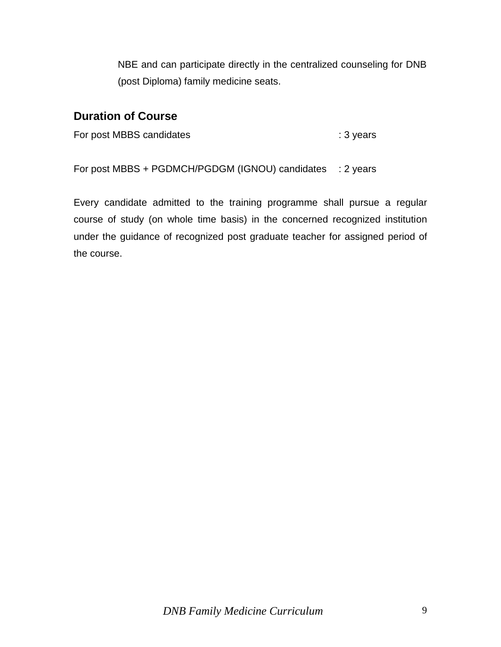NBE and can participate directly in the centralized counseling for DNB (post Diploma) family medicine seats.

## **Duration of Course**

For post MBBS candidates : 3 years

For post MBBS + PGDMCH/PGDGM (IGNOU) candidates : 2 years

Every candidate admitted to the training programme shall pursue a regular course of study (on whole time basis) in the concerned recognized institution under the guidance of recognized post graduate teacher for assigned period of the course.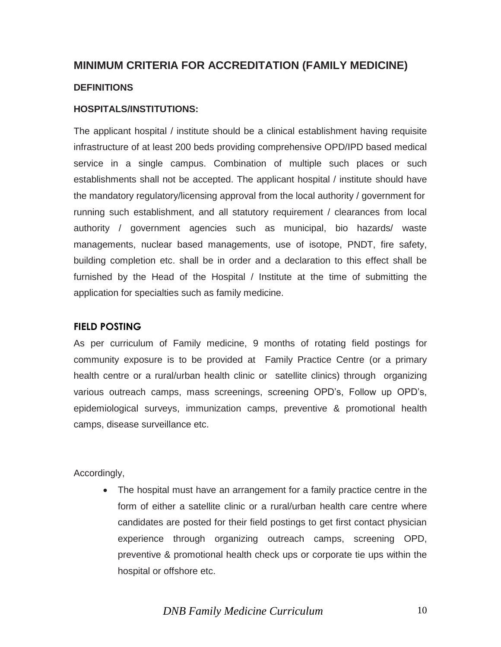## **MINIMUM CRITERIA FOR ACCREDITATION (FAMILY MEDICINE)**

#### **DEFINITIONS**

#### **HOSPITALS/INSTITUTIONS:**

The applicant hospital / institute should be a clinical establishment having requisite infrastructure of at least 200 beds providing comprehensive OPD/IPD based medical service in a single campus. Combination of multiple such places or such establishments shall not be accepted. The applicant hospital / institute should have the mandatory regulatory/licensing approval from the local authority / government for running such establishment, and all statutory requirement / clearances from local authority / government agencies such as municipal, bio hazards/ waste managements, nuclear based managements, use of isotope, PNDT, fire safety, building completion etc. shall be in order and a declaration to this effect shall be furnished by the Head of the Hospital / Institute at the time of submitting the application for specialties such as family medicine.

#### **FIELD POSTING**

As per curriculum of Family medicine, 9 months of rotating field postings for community exposure is to be provided at Family Practice Centre (or a primary health centre or a rural/urban health clinic or satellite clinics) through organizing various outreach camps, mass screenings, screening OPD's, Follow up OPD's, epidemiological surveys, immunization camps, preventive & promotional health camps, disease surveillance etc.

Accordingly,

 The hospital must have an arrangement for a family practice centre in the form of either a satellite clinic or a rural/urban health care centre where candidates are posted for their field postings to get first contact physician experience through organizing outreach camps, screening OPD, preventive & promotional health check ups or corporate tie ups within the hospital or offshore etc.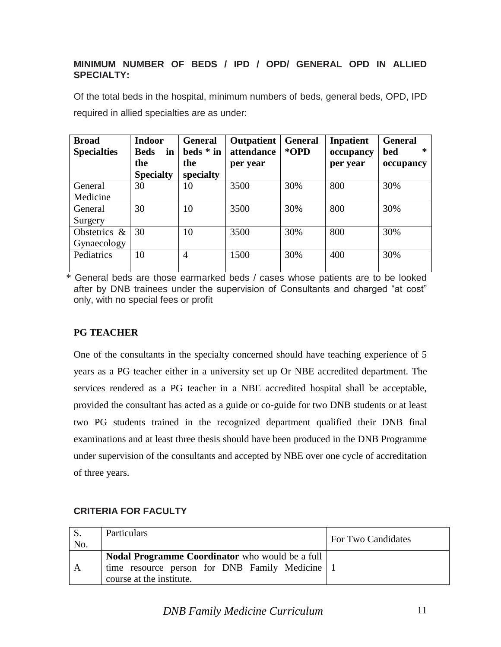#### **MINIMUM NUMBER OF BEDS / IPD / OPD/ GENERAL OPD IN ALLIED SPECIALTY:**

| Of the total beds in the hospital, minimum numbers of beds, general beds, OPD, IPD |  |  |
|------------------------------------------------------------------------------------|--|--|
| required in allied specialties are as under:                                       |  |  |

| <b>Broad</b><br><b>Specialties</b> | <b>Indoor</b><br><b>Beds</b><br>in<br>the | <b>General</b><br>beds * in<br>the | <b>Outpatient</b><br>attendance<br>per year | <b>General</b><br>*OPD | <b>Inpatient</b><br>occupancy<br>per year | <b>General</b><br>$\ast$<br>bed<br>occupancy |
|------------------------------------|-------------------------------------------|------------------------------------|---------------------------------------------|------------------------|-------------------------------------------|----------------------------------------------|
|                                    | <b>Specialty</b>                          | specialty                          |                                             |                        |                                           |                                              |
| General                            | 30                                        | 10                                 | 3500                                        | 30%                    | 800                                       | 30%                                          |
| Medicine                           |                                           |                                    |                                             |                        |                                           |                                              |
| General                            | 30                                        | 10                                 | 3500                                        | 30%                    | 800                                       | 30%                                          |
| Surgery                            |                                           |                                    |                                             |                        |                                           |                                              |
| Obstetrics &                       | 30                                        | 10                                 | 3500                                        | 30%                    | 800                                       | 30%                                          |
| Gynaecology                        |                                           |                                    |                                             |                        |                                           |                                              |
| Pediatrics                         | 10                                        | $\overline{4}$                     | 1500                                        | 30%                    | 400                                       | 30%                                          |

\* General beds are those earmarked beds / cases whose patients are to be looked after by DNB trainees under the supervision of Consultants and charged "at cost" only, with no special fees or profit

#### **PG TEACHER**

One of the consultants in the specialty concerned should have teaching experience of 5 years as a PG teacher either in a university set up Or NBE accredited department. The services rendered as a PG teacher in a NBE accredited hospital shall be acceptable, provided the consultant has acted as a guide or co-guide for two DNB students or at least two PG students trained in the recognized department qualified their DNB final examinations and at least three thesis should have been produced in the DNB Programme under supervision of the consultants and accepted by NBE over one cycle of accreditation of three years.

| No. | Particulars                                                                                                                          | <b>For Two Candidates</b> |
|-----|--------------------------------------------------------------------------------------------------------------------------------------|---------------------------|
| A   | <b>Nodal Programme Coordinator</b> who would be a full<br>time resource person for DNB Family Medicine 1<br>course at the institute. |                           |

#### **CRITERIA FOR FACULTY**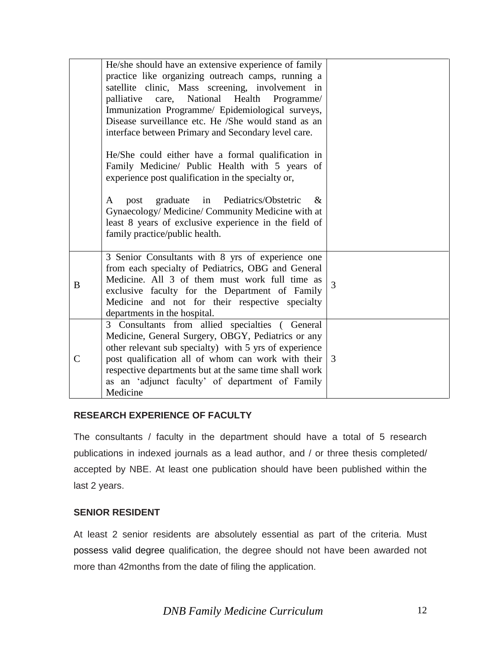|               | He/she should have an extensive experience of family<br>practice like organizing outreach camps, running a<br>satellite clinic, Mass screening, involvement in<br>National Health<br>palliative<br>care,<br>Programme/<br>Immunization Programme/ Epidemiological surveys,<br>Disease surveillance etc. He /She would stand as an<br>interface between Primary and Secondary level care. |   |
|---------------|------------------------------------------------------------------------------------------------------------------------------------------------------------------------------------------------------------------------------------------------------------------------------------------------------------------------------------------------------------------------------------------|---|
|               | He/She could either have a formal qualification in<br>Family Medicine/ Public Health with 5 years of<br>experience post qualification in the specialty or,                                                                                                                                                                                                                               |   |
|               | graduate in Pediatrics/Obstetric<br>$\&$<br>post<br>A<br>Gynaecology/ Medicine/ Community Medicine with at<br>least 8 years of exclusive experience in the field of<br>family practice/public health.                                                                                                                                                                                    |   |
| B             | 3 Senior Consultants with 8 yrs of experience one<br>from each specialty of Pediatrics, OBG and General<br>Medicine. All 3 of them must work full time as<br>exclusive faculty for the Department of Family<br>Medicine and not for their respective specialty<br>departments in the hospital.                                                                                           | 3 |
| $\mathcal{C}$ | 3 Consultants from allied specialties (General<br>Medicine, General Surgery, OBGY, Pediatrics or any<br>other relevant sub specialty) with 5 yrs of experience<br>post qualification all of whom can work with their<br>respective departments but at the same time shall work<br>as an 'adjunct faculty' of department of Family<br>Medicine                                            | 3 |

#### **RESEARCH EXPERIENCE OF FACULTY**

The consultants / faculty in the department should have a total of 5 research publications in indexed journals as a lead author, and / or three thesis completed/ accepted by NBE. At least one publication should have been published within the last 2 years.

#### **SENIOR RESIDENT**

At least 2 senior residents are absolutely essential as part of the criteria. Must possess valid degree qualification, the degree should not have been awarded not more than 42months from the date of filing the application.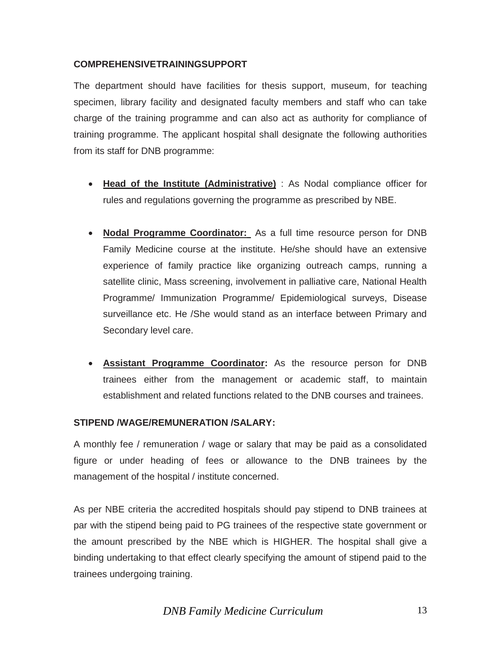#### **COMPREHENSIVETRAININGSUPPORT**

The department should have facilities for thesis support, museum, for teaching specimen, library facility and designated faculty members and staff who can take charge of the training programme and can also act as authority for compliance of training programme. The applicant hospital shall designate the following authorities from its staff for DNB programme:

- **Head of the Institute (Administrative)** : As Nodal compliance officer for rules and regulations governing the programme as prescribed by NBE.
- **Nodal Programme Coordinator:** As a full time resource person for DNB Family Medicine course at the institute. He/she should have an extensive experience of family practice like organizing outreach camps, running a satellite clinic, Mass screening, involvement in palliative care, National Health Programme/ Immunization Programme/ Epidemiological surveys, Disease surveillance etc. He /She would stand as an interface between Primary and Secondary level care.
- **Assistant Programme Coordinator:** As the resource person for DNB trainees either from the management or academic staff, to maintain establishment and related functions related to the DNB courses and trainees.

#### **STIPEND /WAGE/REMUNERATION /SALARY:**

A monthly fee / remuneration / wage or salary that may be paid as a consolidated figure or under heading of fees or allowance to the DNB trainees by the management of the hospital / institute concerned.

As per NBE criteria the accredited hospitals should pay stipend to DNB trainees at par with the stipend being paid to PG trainees of the respective state government or the amount prescribed by the NBE which is HIGHER. The hospital shall give a binding undertaking to that effect clearly specifying the amount of stipend paid to the trainees undergoing training.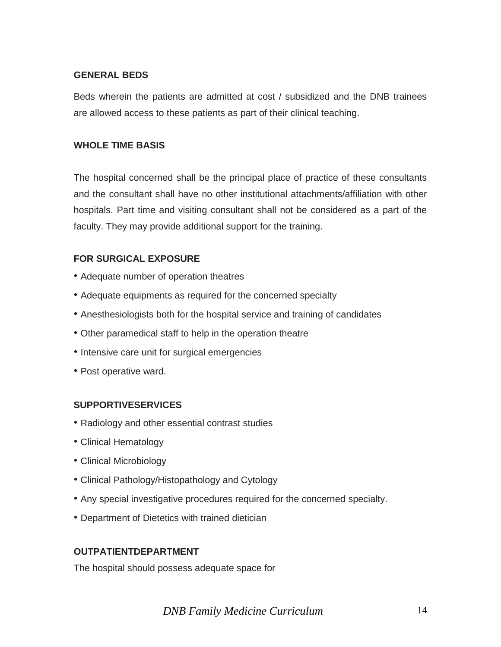#### **GENERAL BEDS**

Beds wherein the patients are admitted at cost / subsidized and the DNB trainees are allowed access to these patients as part of their clinical teaching.

#### **WHOLE TIME BASIS**

The hospital concerned shall be the principal place of practice of these consultants and the consultant shall have no other institutional attachments/affiliation with other hospitals. Part time and visiting consultant shall not be considered as a part of the faculty. They may provide additional support for the training.

#### **FOR SURGICAL EXPOSURE**

- Adequate number of operation theatres
- Adequate equipments as required for the concerned specialty
- Anesthesiologists both for the hospital service and training of candidates
- Other paramedical staff to help in the operation theatre
- Intensive care unit for surgical emergencies
- Post operative ward.

#### **SUPPORTIVESERVICES**

- Radiology and other essential contrast studies
- Clinical Hematology
- Clinical Microbiology
- Clinical Pathology/Histopathology and Cytology
- Any special investigative procedures required for the concerned specialty.
- Department of Dietetics with trained dietician

#### **OUTPATIENTDEPARTMENT**

The hospital should possess adequate space for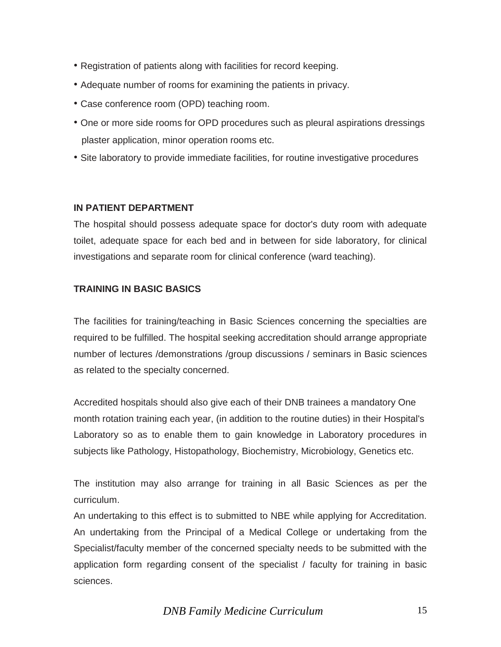- Registration of patients along with facilities for record keeping.
- Adequate number of rooms for examining the patients in privacy.
- Case conference room (OPD) teaching room.
- One or more side rooms for OPD procedures such as pleural aspirations dressings plaster application, minor operation rooms etc.
- Site laboratory to provide immediate facilities, for routine investigative procedures

#### **IN PATIENT DEPARTMENT**

The hospital should possess adequate space for doctor's duty room with adequate toilet, adequate space for each bed and in between for side laboratory, for clinical investigations and separate room for clinical conference (ward teaching).

#### **TRAINING IN BASIC BASICS**

The facilities for training/teaching in Basic Sciences concerning the specialties are required to be fulfilled. The hospital seeking accreditation should arrange appropriate number of lectures /demonstrations /group discussions / seminars in Basic sciences as related to the specialty concerned.

Accredited hospitals should also give each of their DNB trainees a mandatory One month rotation training each year, (in addition to the routine duties) in their Hospital's Laboratory so as to enable them to gain knowledge in Laboratory procedures in subjects like Pathology, Histopathology, Biochemistry, Microbiology, Genetics etc.

The institution may also arrange for training in all Basic Sciences as per the curriculum.

An undertaking to this effect is to submitted to NBE while applying for Accreditation. An undertaking from the Principal of a Medical College or undertaking from the Specialist/faculty member of the concerned specialty needs to be submitted with the application form regarding consent of the specialist / faculty for training in basic sciences.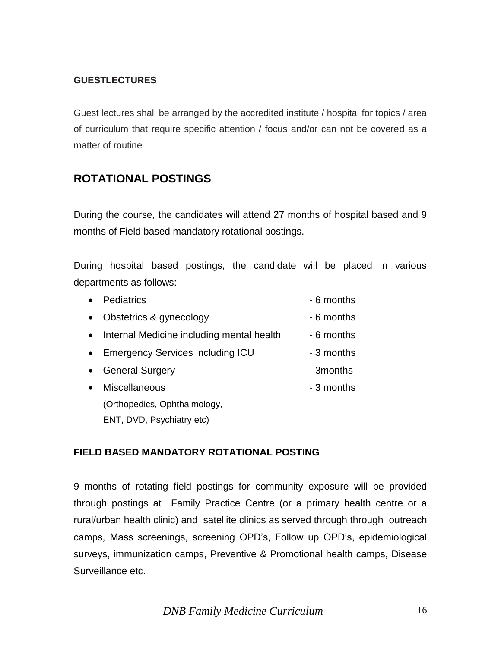#### **GUESTLECTURES**

Guest lectures shall be arranged by the accredited institute / hospital for topics / area of curriculum that require specific attention / focus and/or can not be covered as a matter of routine

## **ROTATIONAL POSTINGS**

During the course, the candidates will attend 27 months of hospital based and 9 months of Field based mandatory rotational postings.

During hospital based postings, the candidate will be placed in various departments as follows:

| $\bullet$ | <b>Pediatrics</b>                           | - 6 months |
|-----------|---------------------------------------------|------------|
| $\bullet$ | Obstetrics & gynecology                     | - 6 months |
|           | • Internal Medicine including mental health | - 6 months |
|           | • Emergency Services including ICU          | - 3 months |
| $\bullet$ | <b>General Surgery</b>                      | - 3months  |
| $\bullet$ | Miscellaneous                               | - 3 months |
|           | (Orthopedics, Ophthalmology,                |            |
|           | ENT, DVD, Psychiatry etc)                   |            |

#### **FIELD BASED MANDATORY ROTATIONAL POSTING**

9 months of rotating field postings for community exposure will be provided through postings at Family Practice Centre (or a primary health centre or a rural/urban health clinic) and satellite clinics as served through through outreach camps, Mass screenings, screening OPD's, Follow up OPD's, epidemiological surveys, immunization camps, Preventive & Promotional health camps, Disease Surveillance etc.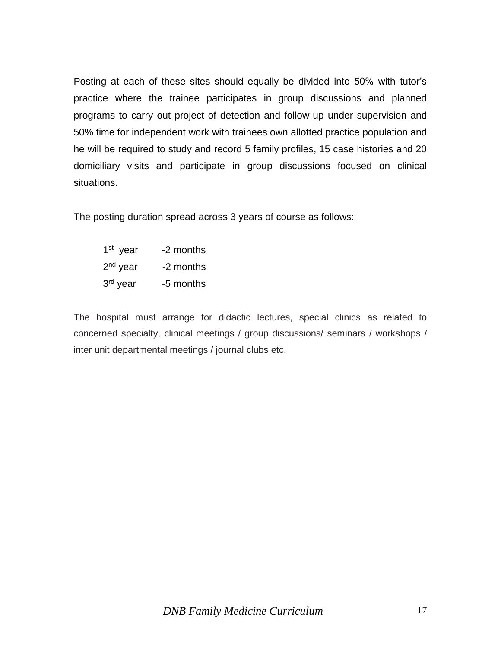Posting at each of these sites should equally be divided into 50% with tutor's practice where the trainee participates in group discussions and planned programs to carry out project of detection and follow-up under supervision and 50% time for independent work with trainees own allotted practice population and he will be required to study and record 5 family profiles, 15 case histories and 20 domiciliary visits and participate in group discussions focused on clinical situations.

The posting duration spread across 3 years of course as follows:

1 st -2 months  $2<sup>nd</sup>$  year -2 months 3<sup>rd</sup> year -5 months

The hospital must arrange for didactic lectures, special clinics as related to concerned specialty, clinical meetings / group discussions/ seminars / workshops / inter unit departmental meetings / journal clubs etc.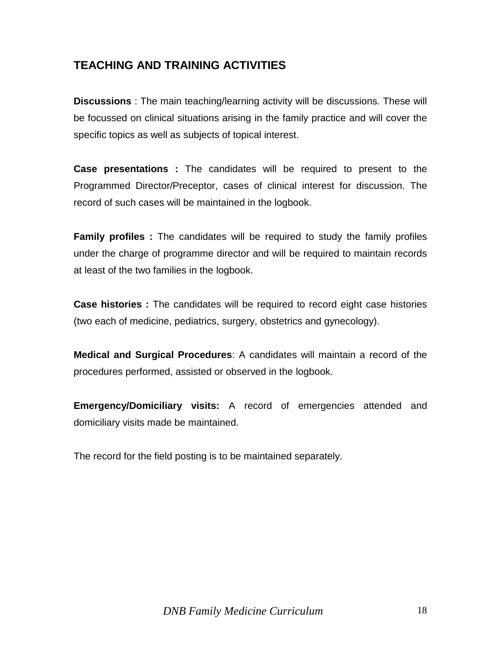## **TEACHING AND TRAINING ACTIVITIES**

**Discussions** : The main teaching/learning activity will be discussions. These will be focussed on clinical situations arising in the family practice and will cover the specific topics as well as subjects of topical interest.

**Case presentations :** The candidates will be required to present to the Programmed Director/Preceptor, cases of clinical interest for discussion. The record of such cases will be maintained in the logbook.

**Family profiles :** The candidates will be required to study the family profiles under the charge of programme director and will be required to maintain records at least of the two families in the logbook.

**Case histories :** The candidates will be required to record eight case histories (two each of medicine, pediatrics, surgery, obstetrics and gynecology).

**Medical and Surgical Procedures**: A candidates will maintain a record of the procedures performed, assisted or observed in the logbook.

**Emergency/Domiciliary visits:** A record of emergencies attended and domiciliary visits made be maintained.

The record for the field posting is to be maintained separately.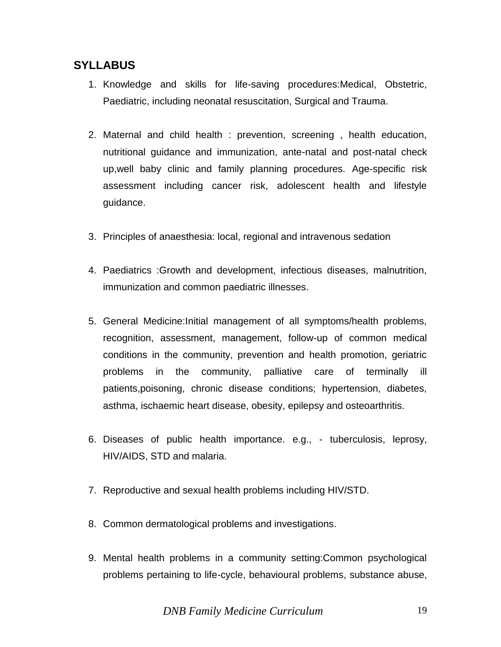## **SYLLABUS**

- 1. Knowledge and skills for life-saving procedures:Medical, Obstetric, Paediatric, including neonatal resuscitation, Surgical and Trauma.
- 2. Maternal and child health : prevention, screening , health education, nutritional guidance and immunization, ante-natal and post-natal check up,well baby clinic and family planning procedures. Age-specific risk assessment including cancer risk, adolescent health and lifestyle guidance.
- 3. Principles of anaesthesia: local, regional and intravenous sedation
- 4. Paediatrics :Growth and development, infectious diseases, malnutrition, immunization and common paediatric illnesses.
- 5. General Medicine:Initial management of all symptoms/health problems, recognition, assessment, management, follow-up of common medical conditions in the community, prevention and health promotion, geriatric problems in the community, palliative care of terminally ill patients,poisoning, chronic disease conditions; hypertension, diabetes, asthma, ischaemic heart disease, obesity, epilepsy and osteoarthritis.
- 6. Diseases of public health importance. e.g., tuberculosis, leprosy, HIV/AIDS, STD and malaria.
- 7. Reproductive and sexual health problems including HIV/STD.
- 8. Common dermatological problems and investigations.
- 9. Mental health problems in a community setting:Common psychological problems pertaining to life-cycle, behavioural problems, substance abuse,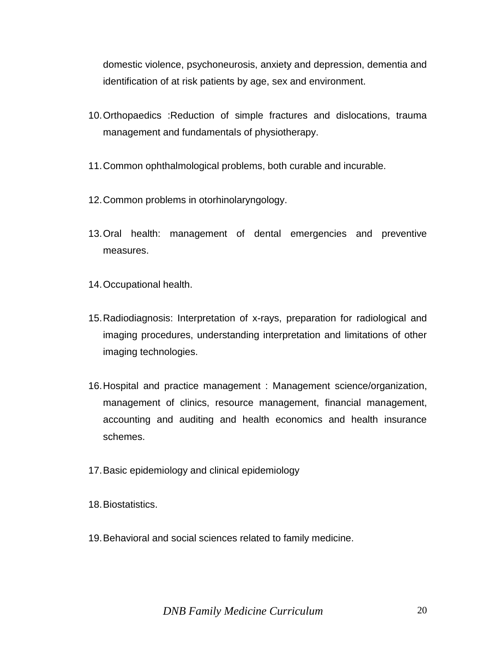domestic violence, psychoneurosis, anxiety and depression, dementia and identification of at risk patients by age, sex and environment.

- 10.Orthopaedics :Reduction of simple fractures and dislocations, trauma management and fundamentals of physiotherapy.
- 11.Common ophthalmological problems, both curable and incurable.
- 12.Common problems in otorhinolaryngology.
- 13.Oral health: management of dental emergencies and preventive measures.
- 14.Occupational health.
- 15.Radiodiagnosis: Interpretation of x-rays, preparation for radiological and imaging procedures, understanding interpretation and limitations of other imaging technologies.
- 16.Hospital and practice management : Management science/organization, management of clinics, resource management, financial management, accounting and auditing and health economics and health insurance schemes.
- 17.Basic epidemiology and clinical epidemiology
- 18.Biostatistics.
- 19.Behavioral and social sciences related to family medicine.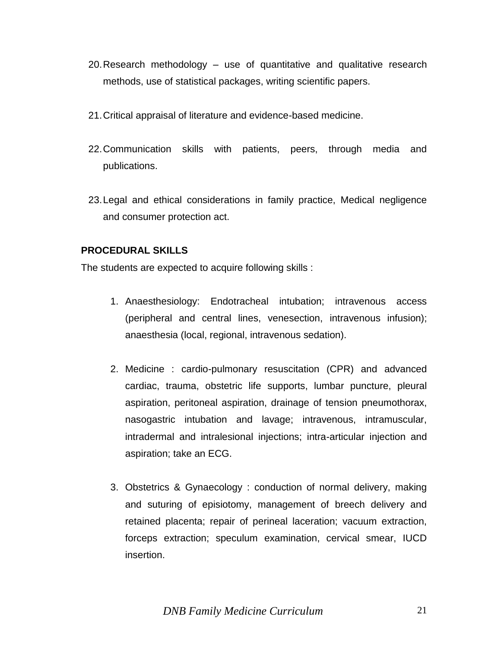- 20.Research methodology use of quantitative and qualitative research methods, use of statistical packages, writing scientific papers.
- 21.Critical appraisal of literature and evidence-based medicine.
- 22.Communication skills with patients, peers, through media and publications.
- 23.Legal and ethical considerations in family practice, Medical negligence and consumer protection act.

#### **PROCEDURAL SKILLS**

The students are expected to acquire following skills :

- 1. Anaesthesiology: Endotracheal intubation; intravenous access (peripheral and central lines, venesection, intravenous infusion); anaesthesia (local, regional, intravenous sedation).
- 2. Medicine : cardio-pulmonary resuscitation (CPR) and advanced cardiac, trauma, obstetric life supports, lumbar puncture, pleural aspiration, peritoneal aspiration, drainage of tension pneumothorax, nasogastric intubation and lavage; intravenous, intramuscular, intradermal and intralesional injections; intra-articular injection and aspiration; take an ECG.
- 3. Obstetrics & Gynaecology : conduction of normal delivery, making and suturing of episiotomy, management of breech delivery and retained placenta; repair of perineal laceration; vacuum extraction, forceps extraction; speculum examination, cervical smear, IUCD insertion.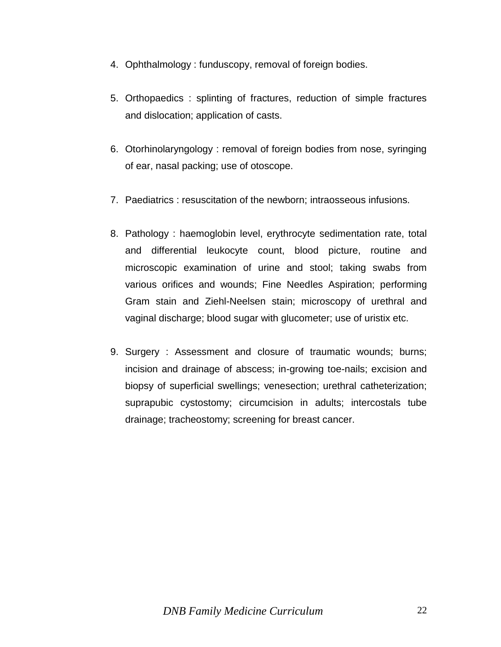- 4. Ophthalmology : funduscopy, removal of foreign bodies.
- 5. Orthopaedics : splinting of fractures, reduction of simple fractures and dislocation; application of casts.
- 6. Otorhinolaryngology : removal of foreign bodies from nose, syringing of ear, nasal packing; use of otoscope.
- 7. Paediatrics : resuscitation of the newborn; intraosseous infusions.
- 8. Pathology : haemoglobin level, erythrocyte sedimentation rate, total and differential leukocyte count, blood picture, routine and microscopic examination of urine and stool; taking swabs from various orifices and wounds; Fine Needles Aspiration; performing Gram stain and Ziehl-Neelsen stain; microscopy of urethral and vaginal discharge; blood sugar with glucometer; use of uristix etc.
- 9. Surgery : Assessment and closure of traumatic wounds; burns; incision and drainage of abscess; in-growing toe-nails; excision and biopsy of superficial swellings; venesection; urethral catheterization; suprapubic cystostomy; circumcision in adults; intercostals tube drainage; tracheostomy; screening for breast cancer.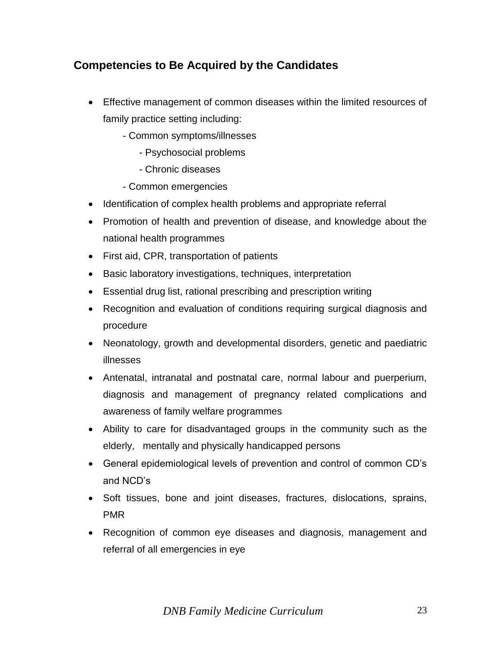## **Competencies to Be Acquired by the Candidates**

- Effective management of common diseases within the limited resources of family practice setting including:
	- Common symptoms/illnesses
		- Psychosocial problems
		- Chronic diseases
	- Common emergencies
- Identification of complex health problems and appropriate referral
- Promotion of health and prevention of disease, and knowledge about the national health programmes
- First aid, CPR, transportation of patients
- Basic laboratory investigations, techniques, interpretation
- Essential drug list, rational prescribing and prescription writing
- Recognition and evaluation of conditions requiring surgical diagnosis and procedure
- Neonatology, growth and developmental disorders, genetic and paediatric illnesses
- Antenatal, intranatal and postnatal care, normal labour and puerperium, diagnosis and management of pregnancy related complications and awareness of family welfare programmes
- Ability to care for disadvantaged groups in the community such as the elderly, mentally and physically handicapped persons
- General epidemiological levels of prevention and control of common CD's and NCD's
- Soft tissues, bone and joint diseases, fractures, dislocations, sprains, PMR
- Recognition of common eye diseases and diagnosis, management and referral of all emergencies in eye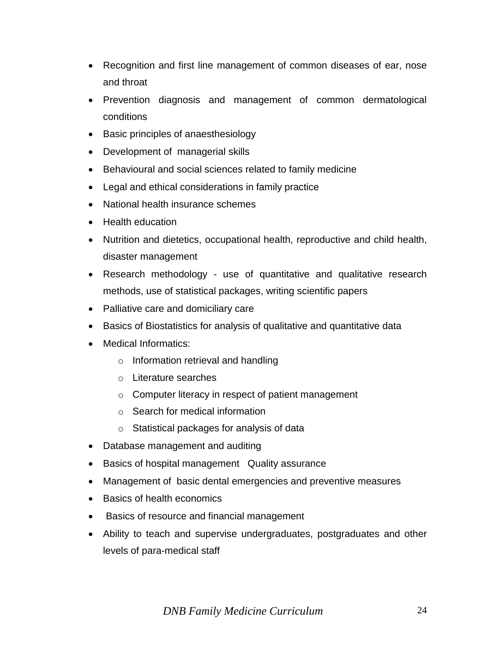- Recognition and first line management of common diseases of ear, nose and throat
- Prevention diagnosis and management of common dermatological conditions
- Basic principles of anaesthesiology
- Development of managerial skills
- Behavioural and social sciences related to family medicine
- Legal and ethical considerations in family practice
- National health insurance schemes
- Health education
- Nutrition and dietetics, occupational health, reproductive and child health, disaster management
- Research methodology use of quantitative and qualitative research methods, use of statistical packages, writing scientific papers
- Palliative care and domiciliary care
- Basics of Biostatistics for analysis of qualitative and quantitative data
- Medical Informatics:
	- o Information retrieval and handling
	- o Literature searches
	- o Computer literacy in respect of patient management
	- o Search for medical information
	- o Statistical packages for analysis of data
- Database management and auditing
- Basics of hospital management Quality assurance
- Management of basic dental emergencies and preventive measures
- Basics of health economics
- Basics of resource and financial management
- Ability to teach and supervise undergraduates, postgraduates and other levels of para-medical staff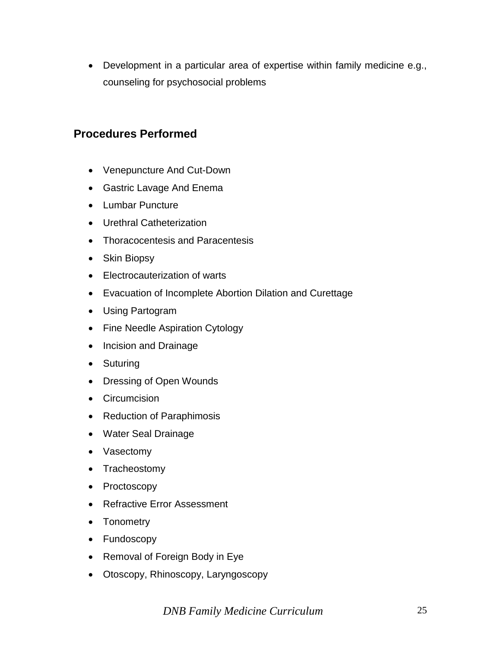Development in a particular area of expertise within family medicine e.g., counseling for psychosocial problems

## **Procedures Performed**

- Venepuncture And Cut-Down
- Gastric Lavage And Enema
- Lumbar Puncture
- Urethral Catheterization
- Thoracocentesis and Paracentesis
- Skin Biopsy
- Electrocauterization of warts
- Evacuation of Incomplete Abortion Dilation and Curettage
- Using Partogram
- Fine Needle Aspiration Cytology
- Incision and Drainage
- Suturing
- Dressing of Open Wounds
- Circumcision
- Reduction of Paraphimosis
- Water Seal Drainage
- Vasectomy
- Tracheostomy
- Proctoscopy
- Refractive Error Assessment
- Tonometry
- Fundoscopy
- Removal of Foreign Body in Eye
- Otoscopy, Rhinoscopy, Laryngoscopy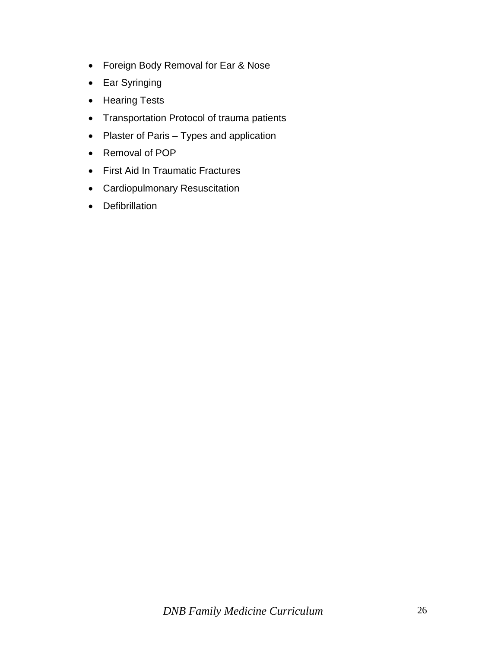- Foreign Body Removal for Ear & Nose
- Ear Syringing
- Hearing Tests
- Transportation Protocol of trauma patients
- Plaster of Paris Types and application
- Removal of POP
- First Aid In Traumatic Fractures
- Cardiopulmonary Resuscitation
- Defibrillation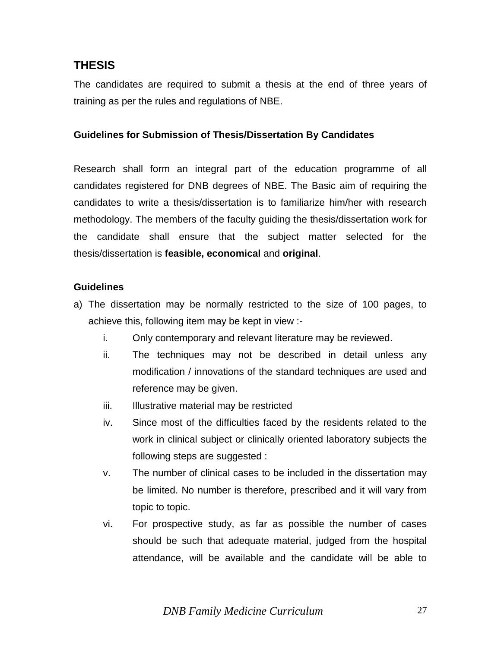## **THESIS**

The candidates are required to submit a thesis at the end of three years of training as per the rules and regulations of NBE.

#### **Guidelines for Submission of Thesis/Dissertation By Candidates**

Research shall form an integral part of the education programme of all candidates registered for DNB degrees of NBE. The Basic aim of requiring the candidates to write a thesis/dissertation is to familiarize him/her with research methodology. The members of the faculty guiding the thesis/dissertation work for the candidate shall ensure that the subject matter selected for the thesis/dissertation is **feasible, economical** and **original**.

#### **Guidelines**

- a) The dissertation may be normally restricted to the size of 100 pages, to achieve this, following item may be kept in view :
	- i. Only contemporary and relevant literature may be reviewed.
	- ii. The techniques may not be described in detail unless any modification / innovations of the standard techniques are used and reference may be given.
	- iii. Illustrative material may be restricted
	- iv. Since most of the difficulties faced by the residents related to the work in clinical subject or clinically oriented laboratory subjects the following steps are suggested :
	- v. The number of clinical cases to be included in the dissertation may be limited. No number is therefore, prescribed and it will vary from topic to topic.
	- vi. For prospective study, as far as possible the number of cases should be such that adequate material, judged from the hospital attendance, will be available and the candidate will be able to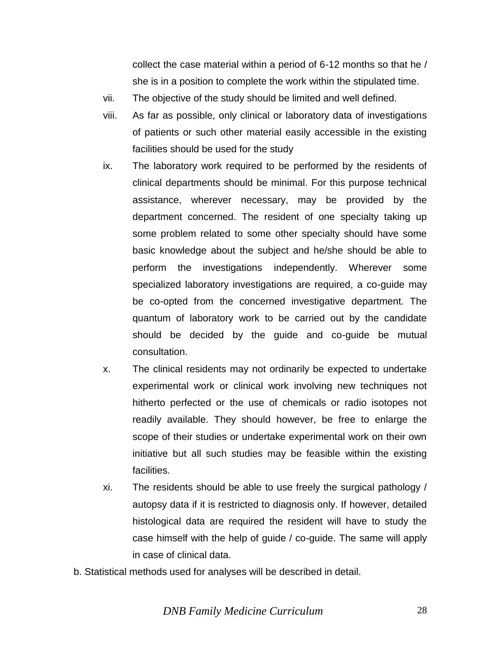collect the case material within a period of 6-12 months so that he / she is in a position to complete the work within the stipulated time.

- vii. The objective of the study should be limited and well defined.
- viii. As far as possible, only clinical or laboratory data of investigations of patients or such other material easily accessible in the existing facilities should be used for the study
- ix. The laboratory work required to be performed by the residents of clinical departments should be minimal. For this purpose technical assistance, wherever necessary, may be provided by the department concerned. The resident of one specialty taking up some problem related to some other specialty should have some basic knowledge about the subject and he/she should be able to perform the investigations independently. Wherever some specialized laboratory investigations are required, a co-guide may be co-opted from the concerned investigative department. The quantum of laboratory work to be carried out by the candidate should be decided by the guide and co-guide be mutual consultation.
- x. The clinical residents may not ordinarily be expected to undertake experimental work or clinical work involving new techniques not hitherto perfected or the use of chemicals or radio isotopes not readily available. They should however, be free to enlarge the scope of their studies or undertake experimental work on their own initiative but all such studies may be feasible within the existing facilities.
- xi. The residents should be able to use freely the surgical pathology / autopsy data if it is restricted to diagnosis only. If however, detailed histological data are required the resident will have to study the case himself with the help of guide / co-guide. The same will apply in case of clinical data.
- b. Statistical methods used for analyses will be described in detail.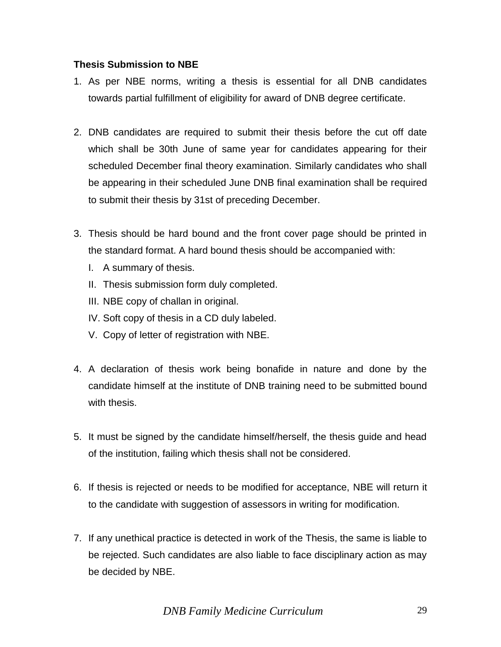#### **Thesis Submission to NBE**

- 1. As per NBE norms, writing a thesis is essential for all DNB candidates towards partial fulfillment of eligibility for award of DNB degree certificate.
- 2. DNB candidates are required to submit their thesis before the cut off date which shall be 30th June of same year for candidates appearing for their scheduled December final theory examination. Similarly candidates who shall be appearing in their scheduled June DNB final examination shall be required to submit their thesis by 31st of preceding December.
- 3. Thesis should be hard bound and the front cover page should be printed in the standard format. A hard bound thesis should be accompanied with:
	- I. A summary of thesis.
	- II. Thesis submission form duly completed.
	- III. NBE copy of challan in original.
	- IV. Soft copy of thesis in a CD duly labeled.
	- V. Copy of letter of registration with NBE.
- 4. A declaration of thesis work being bonafide in nature and done by the candidate himself at the institute of DNB training need to be submitted bound with thesis.
- 5. It must be signed by the candidate himself/herself, the thesis guide and head of the institution, failing which thesis shall not be considered.
- 6. If thesis is rejected or needs to be modified for acceptance, NBE will return it to the candidate with suggestion of assessors in writing for modification.
- 7. If any unethical practice is detected in work of the Thesis, the same is liable to be rejected. Such candidates are also liable to face disciplinary action as may be decided by NBE.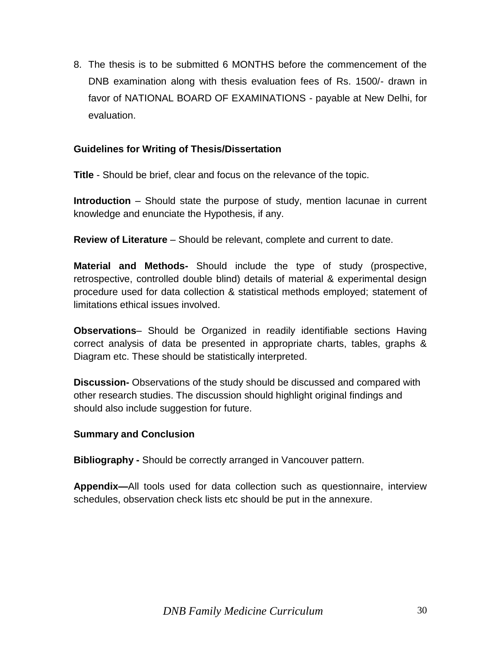8. The thesis is to be submitted 6 MONTHS before the commencement of the DNB examination along with thesis evaluation fees of Rs. 1500/- drawn in favor of NATIONAL BOARD OF EXAMINATIONS - payable at New Delhi, for evaluation.

#### **Guidelines for Writing of Thesis/Dissertation**

**Title** - Should be brief, clear and focus on the relevance of the topic.

**Introduction** – Should state the purpose of study, mention lacunae in current knowledge and enunciate the Hypothesis, if any.

**Review of Literature** – Should be relevant, complete and current to date.

**Material and Methods-** Should include the type of study (prospective, retrospective, controlled double blind) details of material & experimental design procedure used for data collection & statistical methods employed; statement of limitations ethical issues involved.

**Observations**– Should be Organized in readily identifiable sections Having correct analysis of data be presented in appropriate charts, tables, graphs & Diagram etc. These should be statistically interpreted.

**Discussion-** Observations of the study should be discussed and compared with other research studies. The discussion should highlight original findings and should also include suggestion for future.

#### **Summary and Conclusion**

**Bibliography -** Should be correctly arranged in Vancouver pattern.

**Appendix—**All tools used for data collection such as questionnaire, interview schedules, observation check lists etc should be put in the annexure.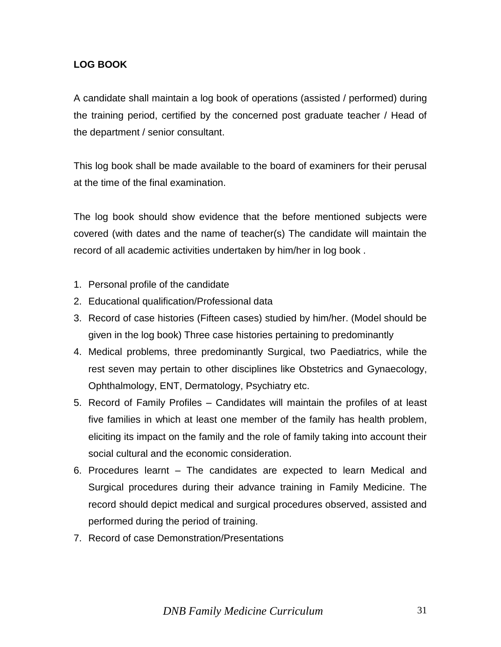### **LOG BOOK**

A candidate shall maintain a log book of operations (assisted / performed) during the training period, certified by the concerned post graduate teacher / Head of the department / senior consultant.

This log book shall be made available to the board of examiners for their perusal at the time of the final examination.

The log book should show evidence that the before mentioned subjects were covered (with dates and the name of teacher(s) The candidate will maintain the record of all academic activities undertaken by him/her in log book .

- 1. Personal profile of the candidate
- 2. Educational qualification/Professional data
- 3. Record of case histories (Fifteen cases) studied by him/her. (Model should be given in the log book) Three case histories pertaining to predominantly
- 4. Medical problems, three predominantly Surgical, two Paediatrics, while the rest seven may pertain to other disciplines like Obstetrics and Gynaecology, Ophthalmology, ENT, Dermatology, Psychiatry etc.
- 5. Record of Family Profiles Candidates will maintain the profiles of at least five families in which at least one member of the family has health problem, eliciting its impact on the family and the role of family taking into account their social cultural and the economic consideration.
- 6. Procedures learnt The candidates are expected to learn Medical and Surgical procedures during their advance training in Family Medicine. The record should depict medical and surgical procedures observed, assisted and performed during the period of training.
- 7. Record of case Demonstration/Presentations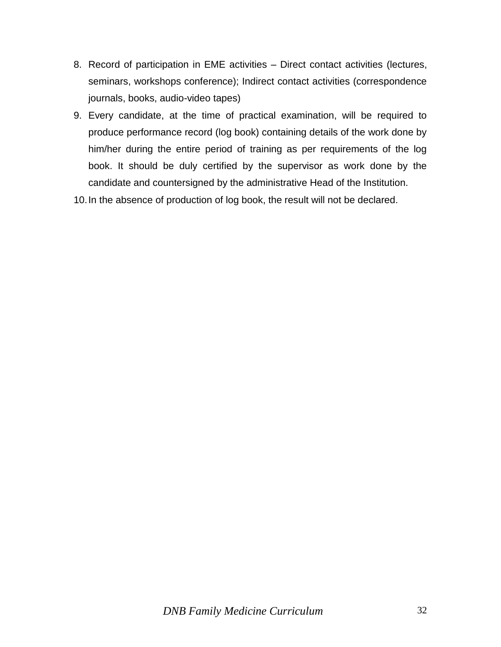- 8. Record of participation in EME activities Direct contact activities (lectures, seminars, workshops conference); Indirect contact activities (correspondence journals, books, audio-video tapes)
- 9. Every candidate, at the time of practical examination, will be required to produce performance record (log book) containing details of the work done by him/her during the entire period of training as per requirements of the log book. It should be duly certified by the supervisor as work done by the candidate and countersigned by the administrative Head of the Institution.

10.In the absence of production of log book, the result will not be declared.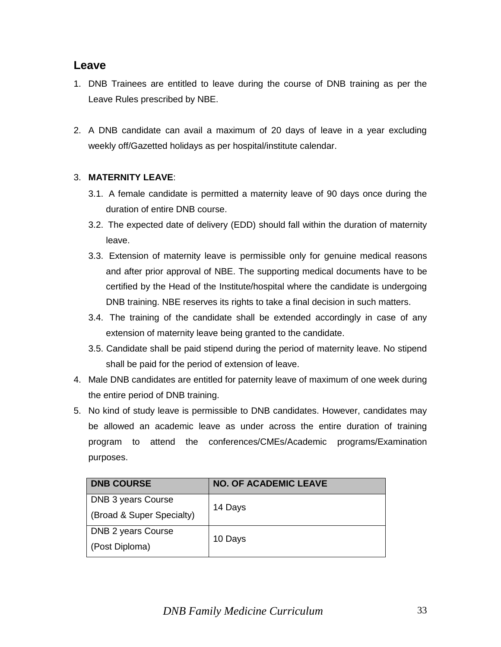## **Leave**

- 1. DNB Trainees are entitled to leave during the course of DNB training as per the Leave Rules prescribed by NBE.
- 2. A DNB candidate can avail a maximum of 20 days of leave in a year excluding weekly off/Gazetted holidays as per hospital/institute calendar.

#### 3. **MATERNITY LEAVE**:

- 3.1. A female candidate is permitted a maternity leave of 90 days once during the duration of entire DNB course.
- 3.2. The expected date of delivery (EDD) should fall within the duration of maternity leave.
- 3.3. Extension of maternity leave is permissible only for genuine medical reasons and after prior approval of NBE. The supporting medical documents have to be certified by the Head of the Institute/hospital where the candidate is undergoing DNB training. NBE reserves its rights to take a final decision in such matters.
- 3.4. The training of the candidate shall be extended accordingly in case of any extension of maternity leave being granted to the candidate.
- 3.5. Candidate shall be paid stipend during the period of maternity leave. No stipend shall be paid for the period of extension of leave.
- 4. Male DNB candidates are entitled for paternity leave of maximum of one week during the entire period of DNB training.
- 5. No kind of study leave is permissible to DNB candidates. However, candidates may be allowed an academic leave as under across the entire duration of training program to attend the conferences/CMEs/Academic programs/Examination purposes.

| <b>DNB COURSE</b>         | <b>NO. OF ACADEMIC LEAVE</b> |  |
|---------------------------|------------------------------|--|
| DNB 3 years Course        | 14 Days                      |  |
| (Broad & Super Specialty) |                              |  |
| DNB 2 years Course        |                              |  |
| (Post Diploma)            | 10 Days                      |  |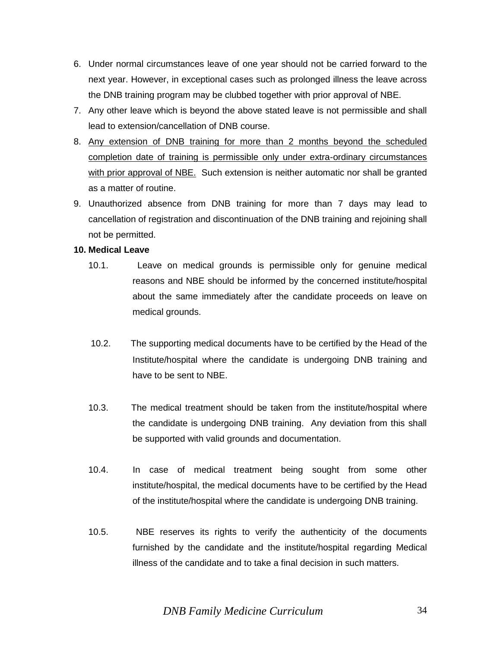- 6. Under normal circumstances leave of one year should not be carried forward to the next year. However, in exceptional cases such as prolonged illness the leave across the DNB training program may be clubbed together with prior approval of NBE.
- 7. Any other leave which is beyond the above stated leave is not permissible and shall lead to extension/cancellation of DNB course.
- 8. Any extension of DNB training for more than 2 months beyond the scheduled completion date of training is permissible only under extra-ordinary circumstances with prior approval of NBE. Such extension is neither automatic nor shall be granted as a matter of routine.
- 9. Unauthorized absence from DNB training for more than 7 days may lead to cancellation of registration and discontinuation of the DNB training and rejoining shall not be permitted.

#### **10. Medical Leave**

- 10.1. Leave on medical grounds is permissible only for genuine medical reasons and NBE should be informed by the concerned institute/hospital about the same immediately after the candidate proceeds on leave on medical grounds.
- 10.2. The supporting medical documents have to be certified by the Head of the Institute/hospital where the candidate is undergoing DNB training and have to be sent to NBE.
- 10.3. The medical treatment should be taken from the institute/hospital where the candidate is undergoing DNB training. Any deviation from this shall be supported with valid grounds and documentation.
- 10.4. In case of medical treatment being sought from some other institute/hospital, the medical documents have to be certified by the Head of the institute/hospital where the candidate is undergoing DNB training.
- 10.5. NBE reserves its rights to verify the authenticity of the documents furnished by the candidate and the institute/hospital regarding Medical illness of the candidate and to take a final decision in such matters.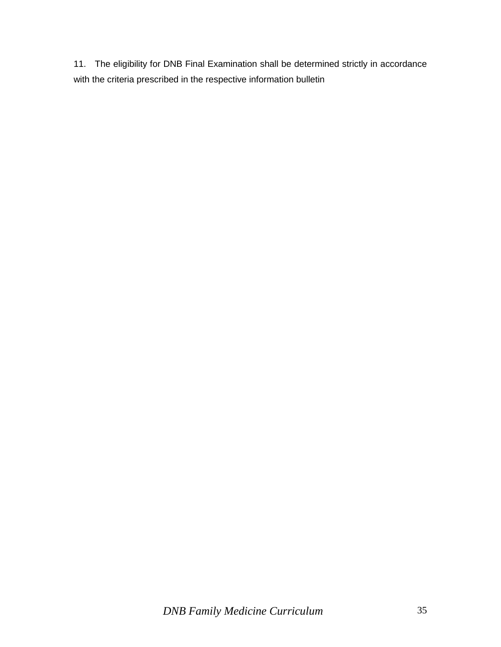11. The eligibility for DNB Final Examination shall be determined strictly in accordance with the criteria prescribed in the respective information bulletin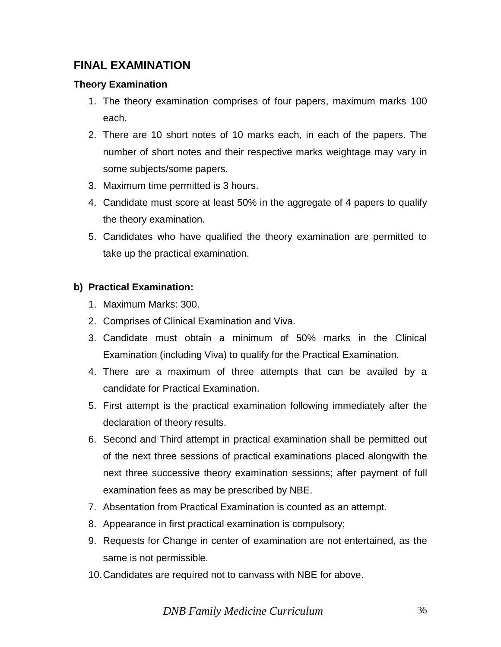## **FINAL EXAMINATION**

### **Theory Examination**

- 1. The theory examination comprises of four papers, maximum marks 100 each.
- 2. There are 10 short notes of 10 marks each, in each of the papers. The number of short notes and their respective marks weightage may vary in some subjects/some papers.
- 3. Maximum time permitted is 3 hours.
- 4. Candidate must score at least 50% in the aggregate of 4 papers to qualify the theory examination.
- 5. Candidates who have qualified the theory examination are permitted to take up the practical examination.

## **b) Practical Examination:**

- 1. Maximum Marks: 300.
- 2. Comprises of Clinical Examination and Viva.
- 3. Candidate must obtain a minimum of 50% marks in the Clinical Examination (including Viva) to qualify for the Practical Examination.
- 4. There are a maximum of three attempts that can be availed by a candidate for Practical Examination.
- 5. First attempt is the practical examination following immediately after the declaration of theory results.
- 6. Second and Third attempt in practical examination shall be permitted out of the next three sessions of practical examinations placed alongwith the next three successive theory examination sessions; after payment of full examination fees as may be prescribed by NBE.
- 7. Absentation from Practical Examination is counted as an attempt.
- 8. Appearance in first practical examination is compulsory;
- 9. Requests for Change in center of examination are not entertained, as the same is not permissible.
- 10.Candidates are required not to canvass with NBE for above.